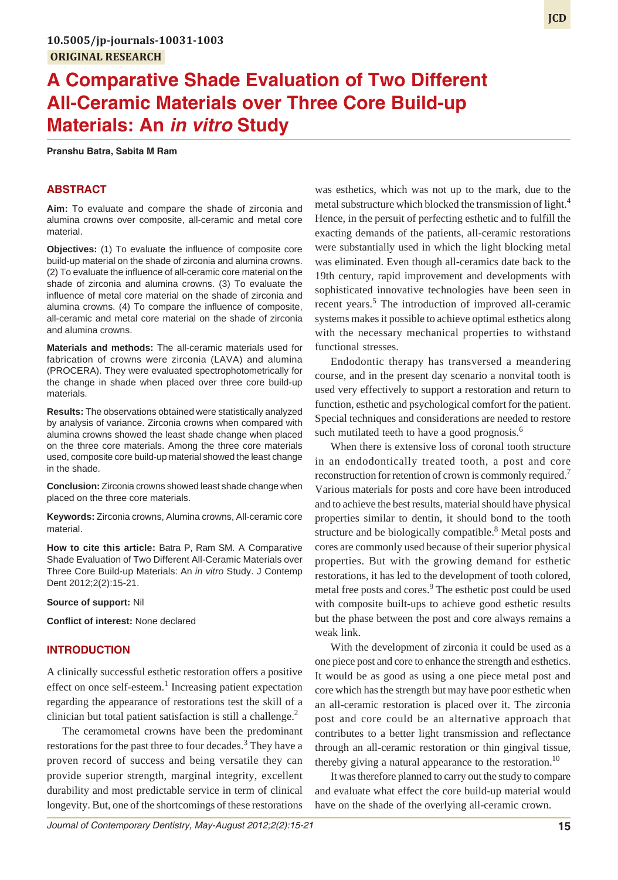# **A Comparative Shade Evaluation of Two Different All-Ceramic Materials over Three Core Build-up Materials: An** *in vitro* **Study**

**Pranshu Batra, Sabita M Ram**

# **ABSTRACT**

**Aim:** To evaluate and compare the shade of zirconia and alumina crowns over composite, all-ceramic and metal core material.

**Objectives:** (1) To evaluate the influence of composite core build-up material on the shade of zirconia and alumina crowns. (2) To evaluate the influence of all-ceramic core material on the shade of zirconia and alumina crowns. (3) To evaluate the influence of metal core material on the shade of zirconia and alumina crowns. (4) To compare the influence of composite, all-ceramic and metal core material on the shade of zirconia and alumina crowns.

**Materials and methods:** The all-ceramic materials used for fabrication of crowns were zirconia (LAVA) and alumina (PROCERA). They were evaluated spectrophotometrically for the change in shade when placed over three core build-up materials.

**Results:** The observations obtained were statistically analyzed by analysis of variance. Zirconia crowns when compared with alumina crowns showed the least shade change when placed on the three core materials. Among the three core materials used, composite core build-up material showed the least change in the shade.

**Conclusion:** Zirconia crowns showed least shade change when placed on the three core materials.

**Keywords:** Zirconia crowns, Alumina crowns, All-ceramic core material.

**How to cite this article:** Batra P, Ram SM. A Comparative Shade Evaluation of Two Different All-Ceramic Materials over Three Core Build-up Materials: An *in vitro* Study. J Contemp Dent 2012;2(2):15-21.

**Source of support:** Nil

**Conflict of interest:** None declared

# **INTRODUCTION**

A clinically successful esthetic restoration offers a positive effect on once self-esteem.<sup>1</sup> Increasing patient expectation regarding the appearance of restorations test the skill of a clinician but total patient satisfaction is still a challenge.<sup>2</sup>

The ceramometal crowns have been the predominant restorations for the past three to four decades.<sup>3</sup> They have a proven record of success and being versatile they can provide superior strength, marginal integrity, excellent durability and most predictable service in term of clinical longevity. But, one of the shortcomings of these restorations

was esthetics, which was not up to the mark, due to the metal substructure which blocked the transmission of light.<sup>4</sup> Hence, in the persuit of perfecting esthetic and to fulfill the exacting demands of the patients, all-ceramic restorations were substantially used in which the light blocking metal was eliminated. Even though all-ceramics date back to the 19th century, rapid improvement and developments with sophisticated innovative technologies have been seen in recent years.<sup>5</sup> The introduction of improved all-ceramic systems makes it possible to achieve optimal esthetics along with the necessary mechanical properties to withstand functional stresses.

Endodontic therapy has transversed a meandering course, and in the present day scenario a nonvital tooth is used very effectively to support a restoration and return to function, esthetic and psychological comfort for the patient. Special techniques and considerations are needed to restore such mutilated teeth to have a good prognosis.<sup>6</sup>

When there is extensive loss of coronal tooth structure in an endodontically treated tooth, a post and core reconstruction for retention of crown is commonly required.<sup>7</sup> Various materials for posts and core have been introduced and to achieve the best results, material should have physical properties similar to dentin, it should bond to the tooth structure and be biologically compatible.<sup>8</sup> Metal posts and cores are commonly used because of their superior physical properties. But with the growing demand for esthetic restorations, it has led to the development of tooth colored, metal free posts and cores.<sup>9</sup> The esthetic post could be used with composite built-ups to achieve good esthetic results but the phase between the post and core always remains a weak link.

With the development of zirconia it could be used as a one piece post and core to enhance the strength and esthetics. It would be as good as using a one piece metal post and core which has the strength but may have poor esthetic when an all-ceramic restoration is placed over it. The zirconia post and core could be an alternative approach that contributes to a better light transmission and reflectance through an all-ceramic restoration or thin gingival tissue, thereby giving a natural appearance to the restoration.<sup>10</sup>

It was therefore planned to carry out the study to compare and evaluate what effect the core build-up material would have on the shade of the overlying all-ceramic crown.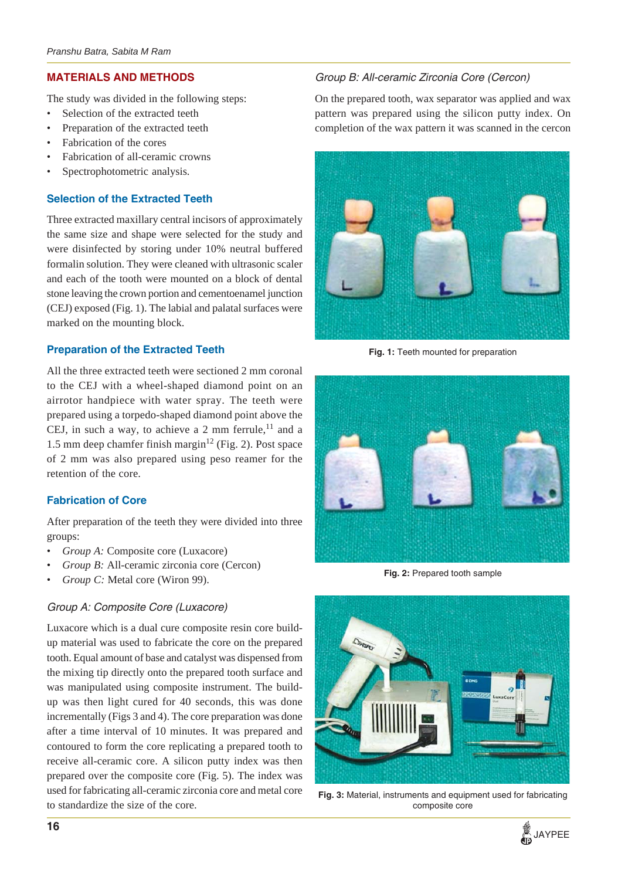# **MATERIALS AND METHODS**

The study was divided in the following steps:

- Selection of the extracted teeth
- Preparation of the extracted teeth
- Fabrication of the cores
- Fabrication of all-ceramic crowns
- Spectrophotometric analysis.

# **Selection of the Extracted Teeth**

Three extracted maxillary central incisors of approximately the same size and shape were selected for the study and were disinfected by storing under 10% neutral buffered formalin solution. They were cleaned with ultrasonic scaler and each of the tooth were mounted on a block of dental stone leaving the crown portion and cementoenamel junction (CEJ) exposed (Fig. 1). The labial and palatal surfaces were marked on the mounting block.

# **Preparation of the Extracted Teeth**

All the three extracted teeth were sectioned 2 mm coronal to the CEJ with a wheel-shaped diamond point on an airrotor handpiece with water spray. The teeth were prepared using a torpedo-shaped diamond point above the CEJ, in such a way, to achieve a 2 mm ferrule, $^{11}$  and a 1.5 mm deep chamfer finish margin<sup>12</sup> (Fig. 2). Post space of 2 mm was also prepared using peso reamer for the retention of the core.

# **Fabrication of Core**

After preparation of the teeth they were divided into three groups:

- *Group A:* Composite core (Luxacore)
- *Group B:* All-ceramic zirconia core (Cercon)
- *Group C:* Metal core (Wiron 99).

# *Group A: Composite Core (Luxacore)*

Luxacore which is a dual cure composite resin core buildup material was used to fabricate the core on the prepared tooth. Equal amount of base and catalyst was dispensed from the mixing tip directly onto the prepared tooth surface and was manipulated using composite instrument. The buildup was then light cured for 40 seconds, this was done incrementally (Figs 3 and 4). The core preparation was done after a time interval of 10 minutes. It was prepared and contoured to form the core replicating a prepared tooth to receive all-ceramic core. A silicon putty index was then prepared over the composite core (Fig. 5). The index was used for fabricating all-ceramic zirconia core and metal core to standardize the size of the core.

# *Group B: All-ceramic Zirconia Core (Cercon)*

On the prepared tooth, wax separator was applied and wax pattern was prepared using the silicon putty index. On completion of the wax pattern it was scanned in the cercon



**Fig. 1:** Teeth mounted for preparation



**Fig. 2:** Prepared tooth sample



**Fig. 3:** Material, instruments and equipment used for fabricating composite core

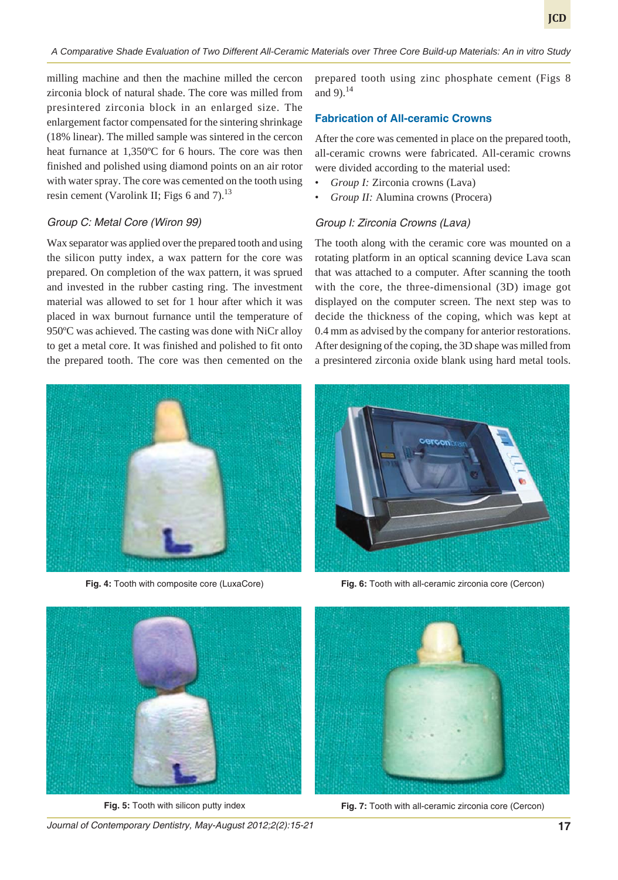milling machine and then the machine milled the cercon zirconia block of natural shade. The core was milled from presintered zirconia block in an enlarged size. The enlargement factor compensated for the sintering shrinkage (18% linear). The milled sample was sintered in the cercon heat furnance at 1,350ºC for 6 hours. The core was then finished and polished using diamond points on an air rotor with water spray. The core was cemented on the tooth using resin cement (Varolink II; Figs 6 and 7). $^{13}$ 

#### *Group C: Metal Core (Wiron 99)*

Wax separator was applied over the prepared tooth and using the silicon putty index, a wax pattern for the core was prepared. On completion of the wax pattern, it was sprued and invested in the rubber casting ring. The investment material was allowed to set for 1 hour after which it was placed in wax burnout furnance until the temperature of 950ºC was achieved. The casting was done with NiCr alloy to get a metal core. It was finished and polished to fit onto the prepared tooth. The core was then cemented on the



**Fig. 4:** Tooth with composite core (LuxaCore) **Fig. 6:** Tooth with all-ceramic zirconia core (Cercon)

prepared tooth using zinc phosphate cement (Figs 8 and 9). $^{14}$ 

# **Fabrication of All-ceramic Crowns**

After the core was cemented in place on the prepared tooth, all-ceramic crowns were fabricated. All-ceramic crowns were divided according to the material used:

- *Group I:* Zirconia crowns (Lava)
- *Group II:* Alumina crowns (Procera)

#### *Group I: Zirconia Crowns (Lava)*

The tooth along with the ceramic core was mounted on a rotating platform in an optical scanning device Lava scan that was attached to a computer. After scanning the tooth with the core, the three-dimensional (3D) image got displayed on the computer screen. The next step was to decide the thickness of the coping, which was kept at 0.4 mm as advised by the company for anterior restorations. After designing of the coping, the 3D shape was milled from a presintered zirconia oxide blank using hard metal tools.





**Fig. 5:** Tooth with silicon putty index

*Journal of Contemporary Dentistry, May-August 2012;2(2):15-21* **17**



**Fig. 7:** Tooth with all-ceramic zirconia core (Cercon)

**JCD**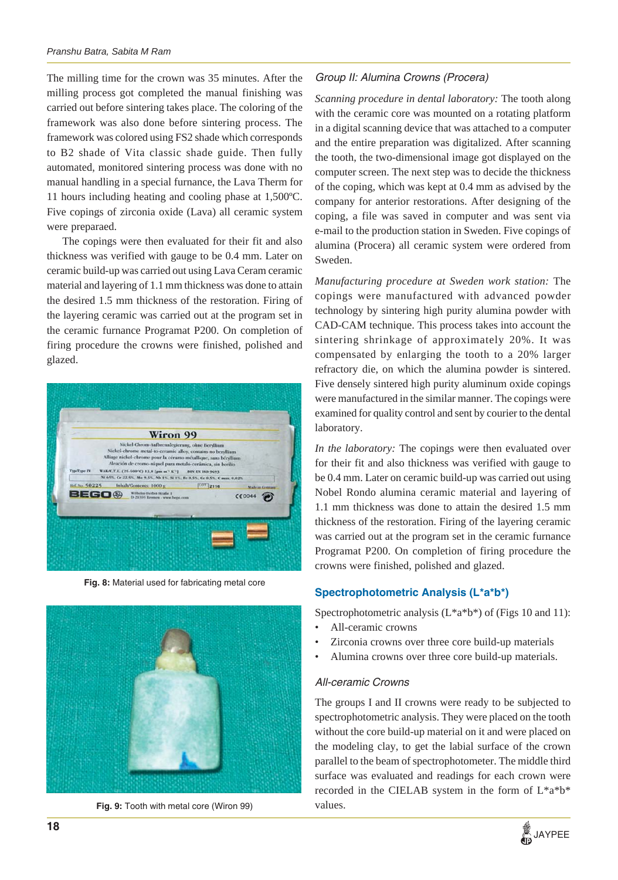The milling time for the crown was 35 minutes. After the milling process got completed the manual finishing was carried out before sintering takes place. The coloring of the framework was also done before sintering process. The framework was colored using FS2 shade which corresponds to B2 shade of Vita classic shade guide. Then fully automated, monitored sintering process was done with no manual handling in a special furnance, the Lava Therm for 11 hours including heating and cooling phase at 1,500ºC. Five copings of zirconia oxide (Lava) all ceramic system were preparaed.

The copings were then evaluated for their fit and also thickness was verified with gauge to be 0.4 mm. Later on ceramic build-up was carried out using Lava Ceram ceramic material and layering of 1.1 mm thickness was done to attain the desired 1.5 mm thickness of the restoration. Firing of the layering ceramic was carried out at the program set in the ceramic furnance Programat P200. On completion of firing procedure the crowns were finished, polished and glazed.



**Fig. 8:** Material used for fabricating metal core



**Fig. 9:** Tooth with metal core (Wiron 99)

## *Group II: Alumina Crowns (Procera)*

*Scanning procedure in dental laboratory:* The tooth along with the ceramic core was mounted on a rotating platform in a digital scanning device that was attached to a computer and the entire preparation was digitalized. After scanning the tooth, the two-dimensional image got displayed on the computer screen. The next step was to decide the thickness of the coping, which was kept at 0.4 mm as advised by the company for anterior restorations. After designing of the coping, a file was saved in computer and was sent via e-mail to the production station in Sweden. Five copings of alumina (Procera) all ceramic system were ordered from Sweden.

*Manufacturing procedure at Sweden work station:* The copings were manufactured with advanced powder technology by sintering high purity alumina powder with CAD-CAM technique. This process takes into account the sintering shrinkage of approximately 20%. It was compensated by enlarging the tooth to a 20% larger refractory die, on which the alumina powder is sintered. Five densely sintered high purity aluminum oxide copings were manufactured in the similar manner. The copings were examined for quality control and sent by courier to the dental laboratory.

*In the laboratory:* The copings were then evaluated over for their fit and also thickness was verified with gauge to be 0.4 mm. Later on ceramic build-up was carried out using Nobel Rondo alumina ceramic material and layering of 1.1 mm thickness was done to attain the desired 1.5 mm thickness of the restoration. Firing of the layering ceramic was carried out at the program set in the ceramic furnance Programat P200. On completion of firing procedure the crowns were finished, polished and glazed.

## **Spectrophotometric Analysis (L\*a\*b\*)**

Spectrophotometric analysis  $(L^*a^*b^*)$  of (Figs 10 and 11):

- All-ceramic crowns
- Zirconia crowns over three core build-up materials
- Alumina crowns over three core build-up materials.

#### *All-ceramic Crowns*

The groups I and II crowns were ready to be subjected to spectrophotometric analysis. They were placed on the tooth without the core build-up material on it and were placed on the modeling clay, to get the labial surface of the crown parallel to the beam of spectrophotometer. The middle third surface was evaluated and readings for each crown were recorded in the CIELAB system in the form of L\*a\*b\* values.

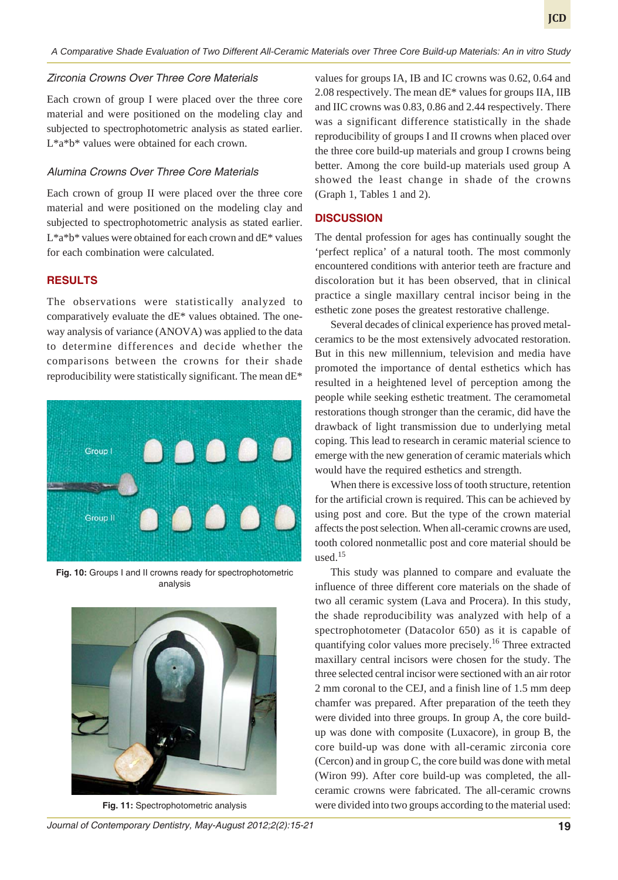#### *Zirconia Crowns Over Three Core Materials*

Each crown of group I were placed over the three core material and were positioned on the modeling clay and subjected to spectrophotometric analysis as stated earlier. L\*a\*b\* values were obtained for each crown.

# *Alumina Crowns Over Three Core Materials*

Each crown of group II were placed over the three core material and were positioned on the modeling clay and subjected to spectrophotometric analysis as stated earlier.  $L^*a^*b^*$  values were obtained for each crown and  $dE^*$  values for each combination were calculated.

# **RESULTS**

The observations were statistically analyzed to comparatively evaluate the dE\* values obtained. The oneway analysis of variance (ANOVA) was applied to the data to determine differences and decide whether the comparisons between the crowns for their shade reproducibility were statistically significant. The mean dE\*



**Fig. 10:** Groups I and II crowns ready for spectrophotometric analysis



values for groups IA, IB and IC crowns was 0.62, 0.64 and 2.08 respectively. The mean dE\* values for groups IIA, IIB and IIC crowns was 0.83, 0.86 and 2.44 respectively. There was a significant difference statistically in the shade reproducibility of groups I and II crowns when placed over the three core build-up materials and group I crowns being better. Among the core build-up materials used group A showed the least change in shade of the crowns (Graph 1, Tables 1 and 2).

#### **DISCUSSION**

The dental profession for ages has continually sought the 'perfect replica' of a natural tooth. The most commonly encountered conditions with anterior teeth are fracture and discoloration but it has been observed, that in clinical practice a single maxillary central incisor being in the esthetic zone poses the greatest restorative challenge.

Several decades of clinical experience has proved metalceramics to be the most extensively advocated restoration. But in this new millennium, television and media have promoted the importance of dental esthetics which has resulted in a heightened level of perception among the people while seeking esthetic treatment. The ceramometal restorations though stronger than the ceramic, did have the drawback of light transmission due to underlying metal coping. This lead to research in ceramic material science to emerge with the new generation of ceramic materials which would have the required esthetics and strength.

When there is excessive loss of tooth structure, retention for the artificial crown is required. This can be achieved by using post and core. But the type of the crown material affects the post selection. When all-ceramic crowns are used, tooth colored nonmetallic post and core material should be used. $15$ 

This study was planned to compare and evaluate the influence of three different core materials on the shade of two all ceramic system (Lava and Procera). In this study, the shade reproducibility was analyzed with help of a spectrophotometer (Datacolor 650) as it is capable of quantifying color values more precisely.<sup>16</sup> Three extracted maxillary central incisors were chosen for the study. The three selected central incisor were sectioned with an air rotor 2 mm coronal to the CEJ, and a finish line of 1.5 mm deep chamfer was prepared. After preparation of the teeth they were divided into three groups. In group A, the core buildup was done with composite (Luxacore), in group B, the core build-up was done with all-ceramic zirconia core (Cercon) and in group C, the core build was done with metal (Wiron 99). After core build-up was completed, the allceramic crowns were fabricated. The all-ceramic crowns **Fig. 11:** Spectrophotometric analysis were divided into two groups according to the material used: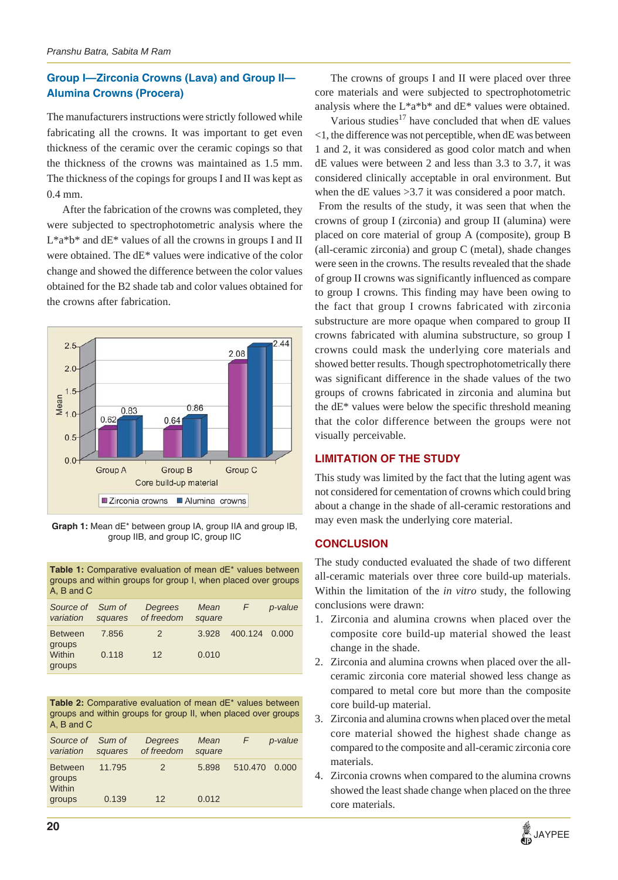# **Group I—Zirconia Crowns (Lava) and Group II— Alumina Crowns (Procera)**

The manufacturers instructions were strictly followed while fabricating all the crowns. It was important to get even thickness of the ceramic over the ceramic copings so that the thickness of the crowns was maintained as 1.5 mm. The thickness of the copings for groups I and II was kept as 0.4 mm.

After the fabrication of the crowns was completed, they were subjected to spectrophotometric analysis where the  $L^*a^*b^*$  and  $dE^*$  values of all the crowns in groups I and II were obtained. The dE\* values were indicative of the color change and showed the difference between the color values obtained for the B2 shade tab and color values obtained for the crowns after fabrication.



**Graph 1:** Mean dE\* between group IA, group IIA and group IB, group IIB, and group IC, group IIC

**Table 1:** Comparative evaluation of mean dE\* values between groups and within groups for group I, when placed over groups A, B and C

| Source of<br>variation                       | Sum of<br>squares | Degrees<br>of freedom | Mean<br>square | F       | p-value |
|----------------------------------------------|-------------------|-----------------------|----------------|---------|---------|
| <b>Between</b><br>groups<br>Within<br>groups | 7.856<br>0.118    | $\mathcal{P}$<br>12   | 3.928<br>0.010 | 400.124 | 0.000   |

**Table 2:** Comparative evaluation of mean dE\* values between groups and within groups for group II, when placed over groups A, B and C

| Source of Sum of<br>variation      | squares | Degrees<br>of freedom | Mean<br>square | F       | p-value |
|------------------------------------|---------|-----------------------|----------------|---------|---------|
| <b>Between</b><br>groups<br>Within | 11.795  | $\mathcal{P}$         | 5.898          | 510.470 | 0.000   |
| groups                             | 0.139   | 12                    | 0.012          |         |         |

The crowns of groups I and II were placed over three core materials and were subjected to spectrophotometric analysis where the  $L^*a^*b^*$  and  $dE^*$  values were obtained.

Various studies<sup>17</sup> have concluded that when  $dE$  values <1, the difference was not perceptible, when dE was between 1 and 2, it was considered as good color match and when dE values were between 2 and less than 3.3 to 3.7, it was considered clinically acceptable in oral environment. But when the dE values > 3.7 it was considered a poor match.

 From the results of the study, it was seen that when the crowns of group I (zirconia) and group II (alumina) were placed on core material of group A (composite), group B (all-ceramic zirconia) and group C (metal), shade changes were seen in the crowns. The results revealed that the shade of group II crowns was significantly influenced as compare to group I crowns. This finding may have been owing to the fact that group I crowns fabricated with zirconia substructure are more opaque when compared to group II crowns fabricated with alumina substructure, so group I crowns could mask the underlying core materials and showed better results. Though spectrophotometrically there was significant difference in the shade values of the two groups of crowns fabricated in zirconia and alumina but the dE\* values were below the specific threshold meaning that the color difference between the groups were not visually perceivable.

# **LIMITATION OF THE STUDY**

This study was limited by the fact that the luting agent was not considered for cementation of crowns which could bring about a change in the shade of all-ceramic restorations and may even mask the underlying core material.

## **CONCLUSION**

The study conducted evaluated the shade of two different all-ceramic materials over three core build-up materials. Within the limitation of the *in vitro* study, the following conclusions were drawn:

- 1. Zirconia and alumina crowns when placed over the composite core build-up material showed the least change in the shade.
- 2. Zirconia and alumina crowns when placed over the allceramic zirconia core material showed less change as compared to metal core but more than the composite core build-up material.
- 3. Zirconia and alumina crowns when placed over the metal core material showed the highest shade change as compared to the composite and all-ceramic zirconia core materials.
- 4. Zirconia crowns when compared to the alumina crowns showed the least shade change when placed on the three core materials.